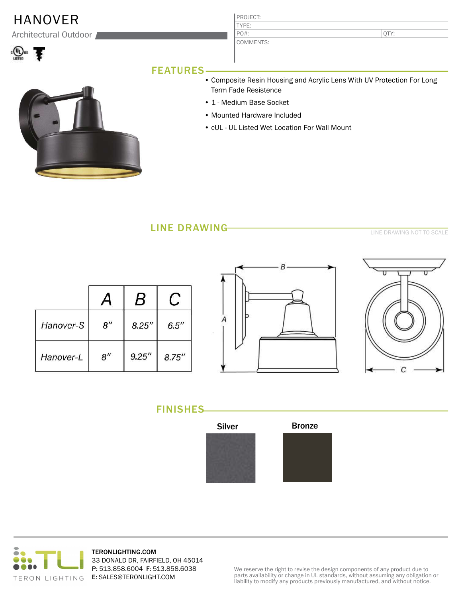## HANOVER

Architectural Outdoor



|     | QTY: |
|-----|------|
| rs: |      |
|     |      |

## FEATURES



- Composite Resin Housing and Acrylic Lens With UV Protection For Long Term Fade Resistence
- 1 Medium Base Socket

PROJECT: TYPE:

COMMEN<sup>T</sup>

PO#:

- Mounted Hardware Included
- cUL UL Listed Wet Location For Wall Mount

## LINE DRAWING

LINE DRAWING NOT TO SCALE

|           |                    | B      |        |
|-----------|--------------------|--------|--------|
| Hanover-S | $8^{\prime\prime}$ | 8.25'' | 6.5''  |
| Hanover-L | $8^{\prime\prime}$ | 9.25'' | 8.75'' |





FINISHES





TERONLIGHTING.COM 33 DONALD DR, FAIRFIELD, OH 45014 P: 513.858.6004 F: 513.858.6038 E: SALES@TERONLIGHT.COM

We reserve the right to revise the design components of any product due to parts availability or change in UL standards, without assuming any obligation or liability to modify any products previously manufactured, and without notice.